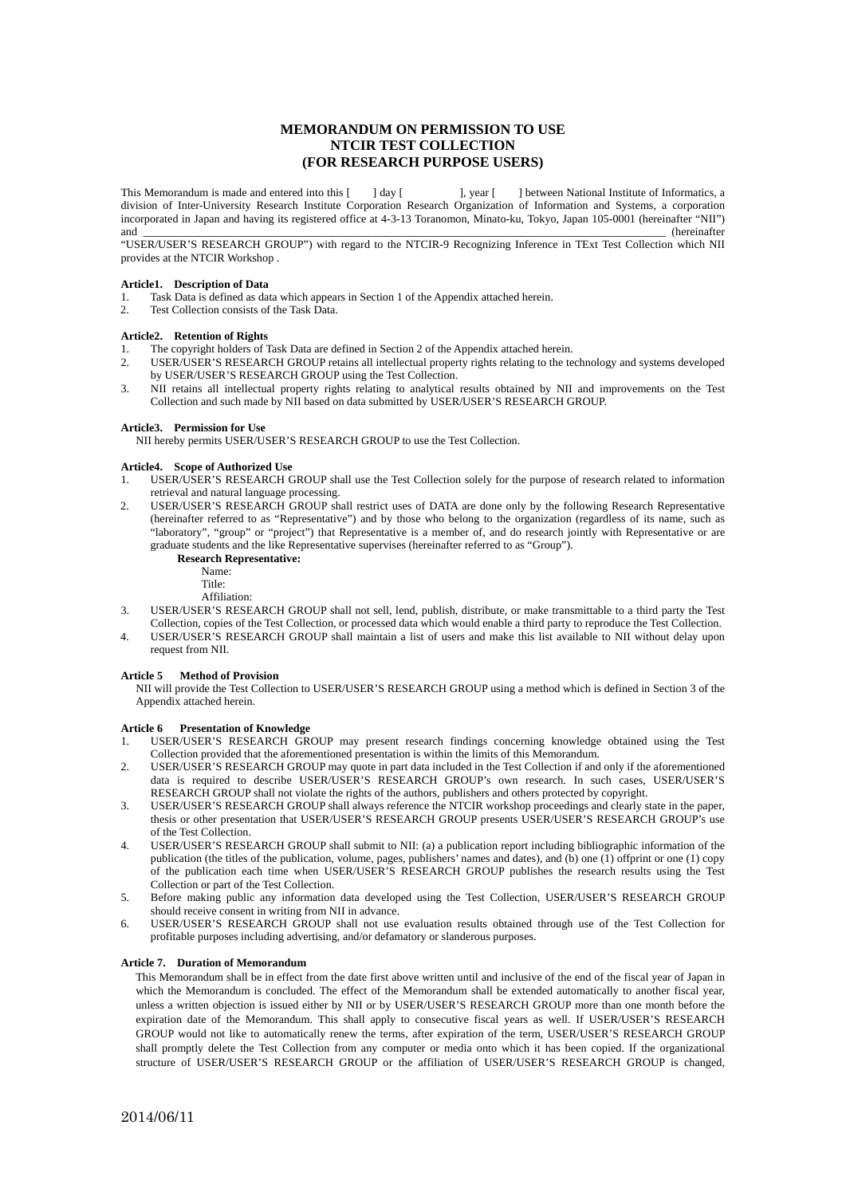# **MEMORANDUM ON PERMISSION TO USE NTCIR TEST COLLECTION (FOR RESEARCH PURPOSE USERS)**

This Memorandum is made and entered into this  $\begin{bmatrix} 1 & 2 \end{bmatrix}$  day  $\begin{bmatrix} 1 & 3 \end{bmatrix}$  between National Institute of Informatics, a division of Inter-University Research Institute Corporation Research Organization of Information and Systems, a corporation incorporated in Japan and having its registered office at 4-3-13 Toranomon, Minato-ku, Tokyo, Japan 105-0001 (hereinafter "NII") and \_\_\_\_\_\_\_\_\_\_\_\_\_\_\_\_\_\_\_\_\_\_\_\_\_\_\_\_\_\_\_\_\_\_\_\_\_\_\_\_\_\_\_\_\_\_\_\_\_\_\_\_\_\_\_\_\_\_\_\_\_\_\_\_\_\_\_\_\_\_\_\_\_\_\_\_\_\_\_\_\_\_\_\_\_\_\_\_\_\_\_\_ (hereinafter

"USER/USER'S RESEARCH GROUP") with regard to the NTCIR-9 Recognizing Inference in TExt Test Collection which NII provides at the NTCIR Workshop .

### **Article1. Description of Data**

- 1. Task Data is defined as data which appears in Section 1 of the Appendix attached herein.
- 2. Test Collection consists of the Task Data.

#### **Article2. Retention of Rights**

- The copyright holders of Task Data are defined in Section 2 of the Appendix attached herein.
- 2. USER/USER'S RESEARCH GROUP retains all intellectual property rights relating to the technology and systems developed by USER/USER'S RESEARCH GROUP using the Test Collection.
- 3. NII retains all intellectual property rights relating to analytical results obtained by NII and improvements on the Test Collection and such made by NII based on data submitted by USER/USER'S RESEARCH GROUP.

#### **Article3. Permission for Use**

NII hereby permits USER/USER'S RESEARCH GROUP to use the Test Collection.

#### **Article4. Scope of Authorized Use**

- 1. USER/USER'S RESEARCH GROUP shall use the Test Collection solely for the purpose of research related to information retrieval and natural language processing.
- 2. USER/USER'S RESEARCH GROUP shall restrict uses of DATA are done only by the following Research Representative (hereinafter referred to as "Representative") and by those who belong to the organization (regardless of its name, such as "laboratory", "group" or "project") that Representative is a member of, and do research jointly with Representative or are graduate students and the like Representative supervises (hereinafter referred to as "Group").

#### **Research Representative:**

- Name:
- Title:
- Affiliation:
- 3. USER/USER'S RESEARCH GROUP shall not sell, lend, publish, distribute, or make transmittable to a third party the Test Collection, copies of the Test Collection, or processed data which would enable a third party to reproduce the Test Collection.
- 4. USER/USER'S RESEARCH GROUP shall maintain a list of users and make this list available to NII without delay upon request from NII.

### **Article 5 Method of Provision**

NII will provide the Test Collection to USER/USER'S RESEARCH GROUP using a method which is defined in Section 3 of the Appendix attached herein.

### **Article 6 Presentation of Knowledge**

1. USER/USER'S RESEARCH GROUP may present research findings concerning knowledge obtained using the Test Collection provided that the aforementioned presentation is within the limits of this Memorandum.

- 2. USER/USER'S RESEARCH GROUP may quote in part data included in the Test Collection if and only if the aforementioned data is required to describe USER/USER'S RESEARCH GROUP's own research. In such cases, USER/USER'S RESEARCH GROUP shall not violate the rights of the authors, publishers and others protected by copyright.
- 3. USER/USER'S RESEARCH GROUP shall always reference the NTCIR workshop proceedings and clearly state in the paper, thesis or other presentation that USER/USER'S RESEARCH GROUP presents USER/USER'S RESEARCH GROUP's use of the Test Collection.
- 4. USER/USER'S RESEARCH GROUP shall submit to NII: (a) a publication report including bibliographic information of the publication (the titles of the publication, volume, pages, publishers' names and dates), and (b) one (1) offprint or one (1) copy of the publication each time when USER/USER'S RESEARCH GROUP publishes the research results using the Test Collection or part of the Test Collection.
- 5. Before making public any information data developed using the Test Collection, USER/USER'S RESEARCH GROUP should receive consent in writing from NII in advance.
- 6. USER/USER'S RESEARCH GROUP shall not use evaluation results obtained through use of the Test Collection for profitable purposes including advertising, and/or defamatory or slanderous purposes.

#### **Article 7. Duration of Memorandum**

This Memorandum shall be in effect from the date first above written until and inclusive of the end of the fiscal year of Japan in which the Memorandum is concluded. The effect of the Memorandum shall be extended automatically to another fiscal year, unless a written objection is issued either by NII or by USER/USER'S RESEARCH GROUP more than one month before the expiration date of the Memorandum. This shall apply to consecutive fiscal years as well. If USER/USER'S RESEARCH GROUP would not like to automatically renew the terms, after expiration of the term, USER/USER'S RESEARCH GROUP shall promptly delete the Test Collection from any computer or media onto which it has been copied. If the organizational structure of USER/USER'S RESEARCH GROUP or the affiliation of USER/USER'S RESEARCH GROUP is changed,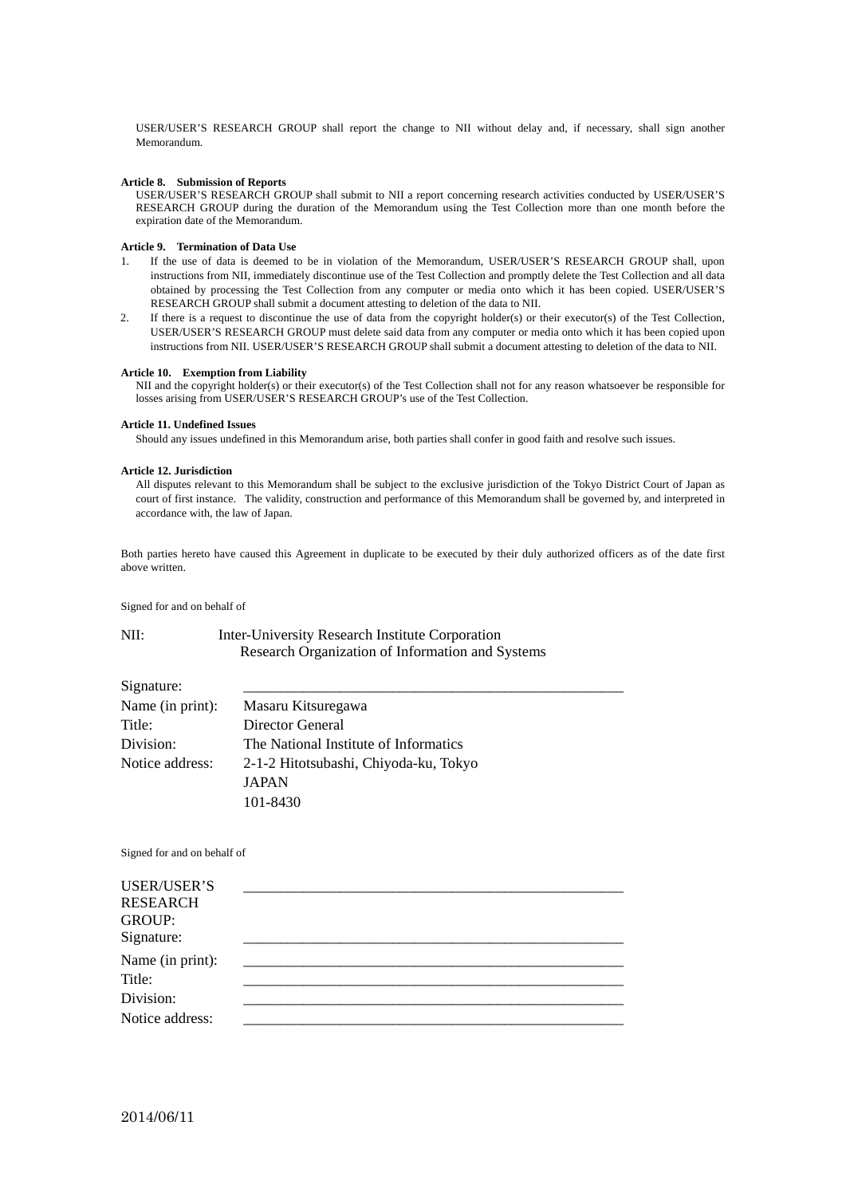USER/USER'S RESEARCH GROUP shall report the change to NII without delay and, if necessary, shall sign another Memorandum.

### **Article 8. Submission of Reports**

USER/USER'S RESEARCH GROUP shall submit to NII a report concerning research activities conducted by USER/USER'S RESEARCH GROUP during the duration of the Memorandum using the Test Collection more than one month before the expiration date of the Memorandum.

#### **Article 9. Termination of Data Use**

- 1. If the use of data is deemed to be in violation of the Memorandum, USER/USER'S RESEARCH GROUP shall, upon instructions from NII, immediately discontinue use of the Test Collection and promptly delete the Test Collection and all data obtained by processing the Test Collection from any computer or media onto which it has been copied. USER/USER'S RESEARCH GROUP shall submit a document attesting to deletion of the data to NII.
- 2. If there is a request to discontinue the use of data from the copyright holder(s) or their executor(s) of the Test Collection, USER/USER'S RESEARCH GROUP must delete said data from any computer or media onto which it has been copied upon instructions from NII. USER/USER'S RESEARCH GROUP shall submit a document attesting to deletion of the data to NII.

#### **Article 10. Exemption from Liability**

NII and the copyright holder(s) or their executor(s) of the Test Collection shall not for any reason whatsoever be responsible for losses arising from USER/USER'S RESEARCH GROUP's use of the Test Collection.

#### **Article 11. Undefined Issues**

Should any issues undefined in this Memorandum arise, both parties shall confer in good faith and resolve such issues.

#### **Article 12. Jurisdiction**

All disputes relevant to this Memorandum shall be subject to the exclusive jurisdiction of the Tokyo District Court of Japan as court of first instance. The validity, construction and performance of this Memorandum shall be governed by, and interpreted in accordance with, the law of Japan.

Both parties hereto have caused this Agreement in duplicate to be executed by their duly authorized officers as of the date first above written.

Signed for and on behalf of

# NII: Inter-University Research Institute Corporation Research Organization of Information and Systems

| Signature:       |                                       |
|------------------|---------------------------------------|
| Name (in print): | Masaru Kitsuregawa                    |
| Title:           | Director General                      |
| Division:        | The National Institute of Informatics |
| Notice address:  | 2-1-2 Hitotsubashi, Chiyoda-ku, Tokyo |
|                  | <b>JAPAN</b>                          |
|                  | 101-8430                              |

Signed for and on behalf of

| <b>USER/USER'S</b><br><b>RESEARCH</b><br><b>GROUP:</b><br>Signature: |  |  |
|----------------------------------------------------------------------|--|--|
| Name (in print):<br>Title:<br>Division:<br>Notice address:           |  |  |